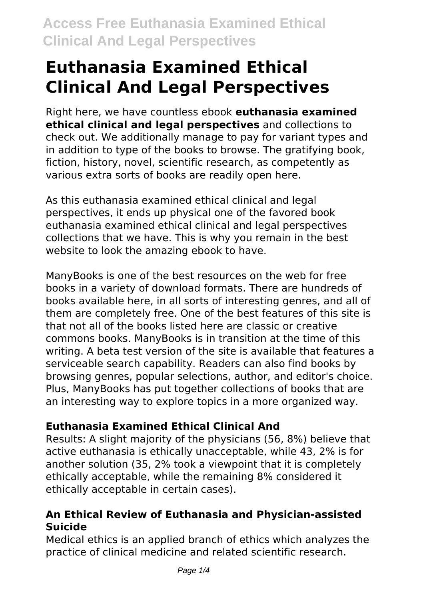# **Euthanasia Examined Ethical Clinical And Legal Perspectives**

Right here, we have countless ebook **euthanasia examined ethical clinical and legal perspectives** and collections to check out. We additionally manage to pay for variant types and in addition to type of the books to browse. The gratifying book, fiction, history, novel, scientific research, as competently as various extra sorts of books are readily open here.

As this euthanasia examined ethical clinical and legal perspectives, it ends up physical one of the favored book euthanasia examined ethical clinical and legal perspectives collections that we have. This is why you remain in the best website to look the amazing ebook to have.

ManyBooks is one of the best resources on the web for free books in a variety of download formats. There are hundreds of books available here, in all sorts of interesting genres, and all of them are completely free. One of the best features of this site is that not all of the books listed here are classic or creative commons books. ManyBooks is in transition at the time of this writing. A beta test version of the site is available that features a serviceable search capability. Readers can also find books by browsing genres, popular selections, author, and editor's choice. Plus, ManyBooks has put together collections of books that are an interesting way to explore topics in a more organized way.

# **Euthanasia Examined Ethical Clinical And**

Results: A slight majority of the physicians (56, 8%) believe that active euthanasia is ethically unacceptable, while 43, 2% is for another solution (35, 2% took a viewpoint that it is completely ethically acceptable, while the remaining 8% considered it ethically acceptable in certain cases).

# **An Ethical Review of Euthanasia and Physician-assisted Suicide**

Medical ethics is an applied branch of ethics which analyzes the practice of clinical medicine and related scientific research.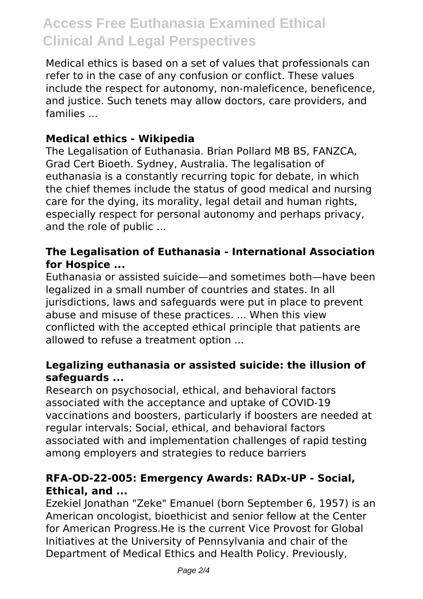# **Access Free Euthanasia Examined Ethical Clinical And Legal Perspectives**

Medical ethics is based on a set of values that professionals can refer to in the case of any confusion or conflict. These values include the respect for autonomy, non-maleficence, beneficence, and justice. Such tenets may allow doctors, care providers, and families ...

### **Medical ethics - Wikipedia**

The Legalisation of Euthanasia. Brian Pollard MB BS, FANZCA, Grad Cert Bioeth. Sydney, Australia. The legalisation of euthanasia is a constantly recurring topic for debate, in which the chief themes include the status of good medical and nursing care for the dying, its morality, legal detail and human rights, especially respect for personal autonomy and perhaps privacy, and the role of public ...

#### **The Legalisation of Euthanasia - International Association for Hospice ...**

Euthanasia or assisted suicide—and sometimes both—have been legalized in a small number of countries and states. In all jurisdictions, laws and safeguards were put in place to prevent abuse and misuse of these practices. ... When this view conflicted with the accepted ethical principle that patients are allowed to refuse a treatment option ...

### **Legalizing euthanasia or assisted suicide: the illusion of safeguards ...**

Research on psychosocial, ethical, and behavioral factors associated with the acceptance and uptake of COVID-19 vaccinations and boosters, particularly if boosters are needed at regular intervals; Social, ethical, and behavioral factors associated with and implementation challenges of rapid testing among employers and strategies to reduce barriers

#### **RFA-OD-22-005: Emergency Awards: RADx-UP - Social, Ethical, and ...**

Ezekiel Jonathan "Zeke" Emanuel (born September 6, 1957) is an American oncologist, bioethicist and senior fellow at the Center for American Progress.He is the current Vice Provost for Global Initiatives at the University of Pennsylvania and chair of the Department of Medical Ethics and Health Policy. Previously,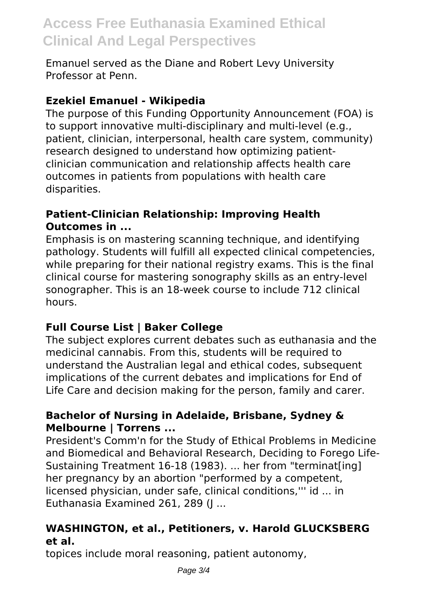# **Access Free Euthanasia Examined Ethical Clinical And Legal Perspectives**

Emanuel served as the Diane and Robert Levy University Professor at Penn.

# **Ezekiel Emanuel - Wikipedia**

The purpose of this Funding Opportunity Announcement (FOA) is to support innovative multi-disciplinary and multi-level (e.g., patient, clinician, interpersonal, health care system, community) research designed to understand how optimizing patientclinician communication and relationship affects health care outcomes in patients from populations with health care disparities.

### **Patient-Clinician Relationship: Improving Health Outcomes in ...**

Emphasis is on mastering scanning technique, and identifying pathology. Students will fulfill all expected clinical competencies, while preparing for their national registry exams. This is the final clinical course for mastering sonography skills as an entry-level sonographer. This is an 18-week course to include 712 clinical hours.

# **Full Course List | Baker College**

The subject explores current debates such as euthanasia and the medicinal cannabis. From this, students will be required to understand the Australian legal and ethical codes, subsequent implications of the current debates and implications for End of Life Care and decision making for the person, family and carer.

# **Bachelor of Nursing in Adelaide, Brisbane, Sydney & Melbourne | Torrens ...**

President's Comm'n for the Study of Ethical Problems in Medicine and Biomedical and Behavioral Research, Deciding to Forego Life-Sustaining Treatment 16-18 (1983). ... her from "terminat[ing] her pregnancy by an abortion "performed by a competent, licensed physician, under safe, clinical conditions,''' id ... in Euthanasia Examined 261, 289 (J ...

# **WASHINGTON, et al., Petitioners, v. Harold GLUCKSBERG et al.**

topices include moral reasoning, patient autonomy,